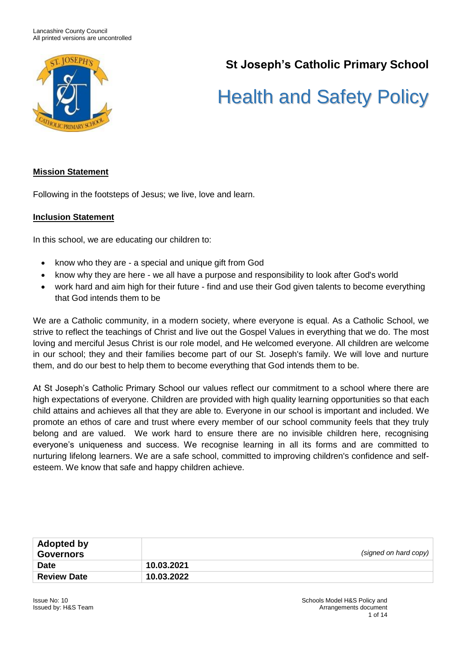

# **St Joseph's Catholic Primary School**

# Health and Safety Policy

#### **Mission Statement**

Following in the footsteps of Jesus; we live, love and learn.

#### **Inclusion Statement**

In this school, we are educating our children to:

- know who they are a special and unique gift from God
- know why they are here we all have a purpose and responsibility to look after God's world
- work hard and aim high for their future find and use their God given talents to become everything that God intends them to be

We are a Catholic community, in a modern society, where everyone is equal. As a Catholic School, we strive to reflect the teachings of Christ and live out the Gospel Values in everything that we do. The most loving and merciful Jesus Christ is our role model, and He welcomed everyone. All children are welcome in our school; they and their families become part of our St. Joseph's family. We will love and nurture them, and do our best to help them to become everything that God intends them to be.

At St Joseph's Catholic Primary School our values reflect our commitment to a school where there are high expectations of everyone. Children are provided with high quality learning opportunities so that each child attains and achieves all that they are able to. Everyone in our school is important and included. We promote an ethos of care and trust where every member of our school community feels that they truly belong and are valued. We work hard to ensure there are no invisible children here, recognising everyone's uniqueness and success. We recognise learning in all its forms and are committed to nurturing lifelong learners. We are a safe school, committed to improving children's confidence and selfesteem. We know that safe and happy children achieve.

| <b>Adopted by</b><br><b>Governors</b> |            | (signed on hard copy) |
|---------------------------------------|------------|-----------------------|
| <b>Date</b>                           | 10.03.2021 |                       |
| <b>Review Date</b>                    | 10.03.2022 |                       |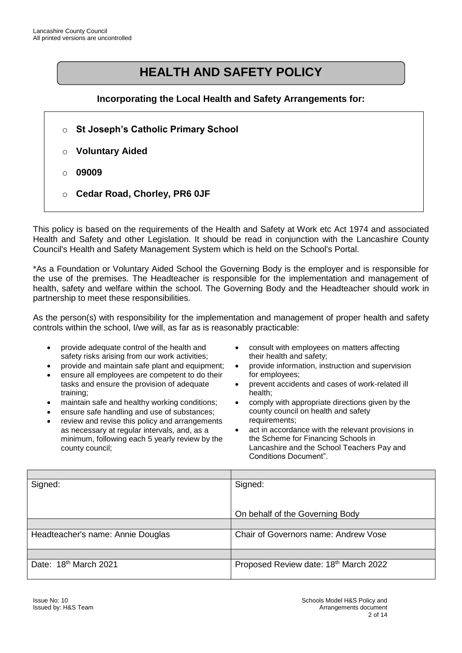# **HEALTH AND SAFETY POLICY**

#### **Incorporating the Local Health and Safety Arrangements for:**

- o **St Joseph's Catholic Primary School**
- o **Voluntary Aided**
- o **09009**
- o **Cedar Road, Chorley, PR6 0JF**

This policy is based on the requirements of the Health and Safety at Work etc Act 1974 and associated Health and Safety and other Legislation. It should be read in conjunction with the Lancashire County Council's Health and Safety Management System which is held on the School's Portal.

\*As a Foundation or Voluntary Aided School the Governing Body is the employer and is responsible for the use of the premises. The Headteacher is responsible for the implementation and management of health, safety and welfare within the school. The Governing Body and the Headteacher should work in partnership to meet these responsibilities.

As the person(s) with responsibility for the implementation and management of proper health and safety controls within the school, I/we will, as far as is reasonably practicable:

- provide adequate control of the health and safety risks arising from our work activities;
- provide and maintain safe plant and equipment;
- ensure all employees are competent to do their tasks and ensure the provision of adequate training;
- maintain safe and healthy working conditions;
- ensure safe handling and use of substances;
- review and revise this policy and arrangements as necessary at regular intervals, and, as a minimum, following each 5 yearly review by the county council;
- consult with employees on matters affecting their health and safety;
- provide information, instruction and supervision for employees;
- prevent accidents and cases of work-related ill health;
- comply with appropriate directions given by the county council on health and safety requirements;
- act in accordance with the relevant provisions in the Scheme for Financing Schools in Lancashire and the School Teachers Pay and Conditions Document".

| Signed:                           | Signed:                               |
|-----------------------------------|---------------------------------------|
|                                   |                                       |
|                                   |                                       |
|                                   | On behalf of the Governing Body       |
|                                   |                                       |
| Headteacher's name: Annie Douglas | Chair of Governors name: Andrew Vose  |
|                                   |                                       |
| Date: 18th March 2021             | Proposed Review date: 18th March 2022 |
|                                   |                                       |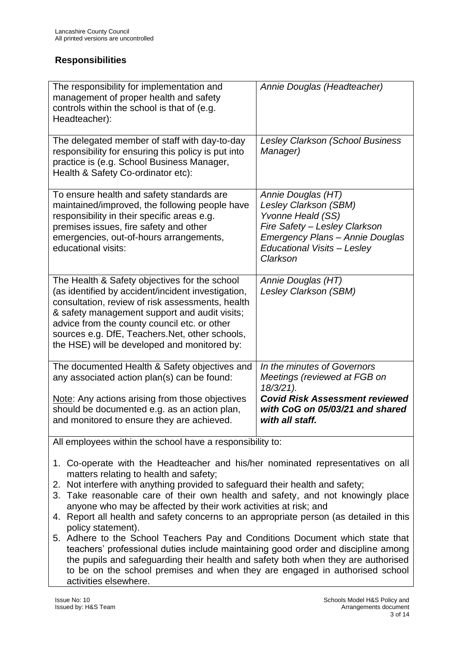## **Responsibilities**

| The responsibility for implementation and<br>management of proper health and safety<br>controls within the school is that of (e.g.<br>Headteacher):                                                                                                                                                                                                               | Annie Douglas (Headteacher)                                                                                                                                                                   |  |
|-------------------------------------------------------------------------------------------------------------------------------------------------------------------------------------------------------------------------------------------------------------------------------------------------------------------------------------------------------------------|-----------------------------------------------------------------------------------------------------------------------------------------------------------------------------------------------|--|
| The delegated member of staff with day-to-day<br>responsibility for ensuring this policy is put into<br>practice is (e.g. School Business Manager,<br>Health & Safety Co-ordinator etc):                                                                                                                                                                          | <b>Lesley Clarkson (School Business</b><br>Manager)                                                                                                                                           |  |
| To ensure health and safety standards are<br>maintained/improved, the following people have<br>responsibility in their specific areas e.g.<br>premises issues, fire safety and other<br>emergencies, out-of-hours arrangements,<br>educational visits:                                                                                                            | Annie Douglas (HT)<br><b>Lesley Clarkson (SBM)</b><br>Yvonne Heald (SS)<br>Fire Safety - Lesley Clarkson<br>Emergency Plans - Annie Douglas<br><b>Educational Visits - Lesley</b><br>Clarkson |  |
| The Health & Safety objectives for the school<br>(as identified by accident/incident investigation,<br>consultation, review of risk assessments, health<br>& safety management support and audit visits;<br>advice from the county council etc. or other<br>sources e.g. DfE, Teachers. Net, other schools,<br>the HSE) will be developed and monitored by:       | Annie Douglas (HT)<br>Lesley Clarkson (SBM)                                                                                                                                                   |  |
| The documented Health & Safety objectives and<br>any associated action plan(s) can be found:                                                                                                                                                                                                                                                                      | In the minutes of Governors<br>Meetings (reviewed at FGB on<br>$18/3/21$ ).                                                                                                                   |  |
| Note: Any actions arising from those objectives<br>should be documented e.g. as an action plan,<br>and monitored to ensure they are achieved.                                                                                                                                                                                                                     | <b>Covid Risk Assessment reviewed</b><br>with CoG on 05/03/21 and shared<br>with all staff.                                                                                                   |  |
| All employees within the school have a responsibility to:                                                                                                                                                                                                                                                                                                         |                                                                                                                                                                                               |  |
| 1. Co-operate with the Headteacher and his/her nominated representatives on all<br>matters relating to health and safety;<br>2. Not interfere with anything provided to safeguard their health and safety;<br>3. Take reasonable care of their own health and safety, and not knowingly place<br>anyone who may be affected by their work activities at risk; and |                                                                                                                                                                                               |  |

- 4. Report all health and safety concerns to an appropriate person (as detailed in this policy statement).
- 5. Adhere to the School Teachers Pay and Conditions Document which state that teachers' professional duties include maintaining good order and discipline among the pupils and safeguarding their health and safety both when they are authorised to be on the school premises and when they are engaged in authorised school activities elsewhere.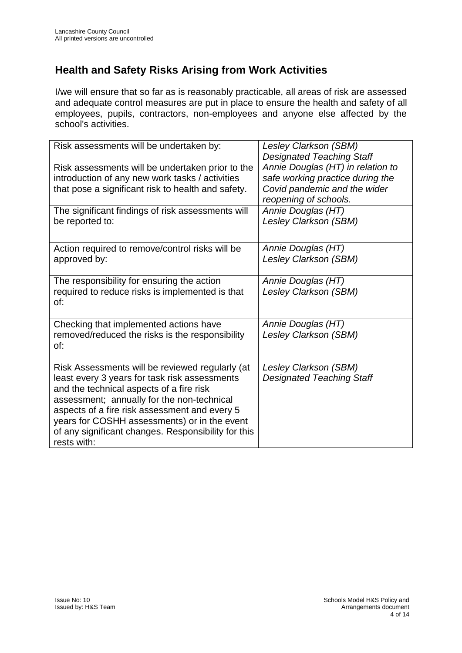# **Health and Safety Risks Arising from Work Activities**

I/we will ensure that so far as is reasonably practicable, all areas of risk are assessed and adequate control measures are put in place to ensure the health and safety of all employees, pupils, contractors, non-employees and anyone else affected by the school's activities.

| Risk assessments will be undertaken by:             | Lesley Clarkson (SBM)                                                 |
|-----------------------------------------------------|-----------------------------------------------------------------------|
| Risk assessments will be undertaken prior to the    | <b>Designated Teaching Staff</b><br>Annie Douglas (HT) in relation to |
| introduction of any new work tasks / activities     | safe working practice during the                                      |
| that pose a significant risk to health and safety.  | Covid pandemic and the wider                                          |
|                                                     | reopening of schools.                                                 |
| The significant findings of risk assessments will   | Annie Douglas (HT)                                                    |
| be reported to:                                     | Lesley Clarkson (SBM)                                                 |
|                                                     |                                                                       |
| Action required to remove/control risks will be     | Annie Douglas (HT)                                                    |
| approved by:                                        | <b>Lesley Clarkson (SBM)</b>                                          |
|                                                     |                                                                       |
| The responsibility for ensuring the action          | Annie Douglas (HT)                                                    |
| required to reduce risks is implemented is that     | Lesley Clarkson (SBM)                                                 |
| of:                                                 |                                                                       |
|                                                     |                                                                       |
| Checking that implemented actions have              | Annie Douglas (HT)                                                    |
| removed/reduced the risks is the responsibility     | Lesley Clarkson (SBM)                                                 |
| of:                                                 |                                                                       |
|                                                     |                                                                       |
| Risk Assessments will be reviewed regularly (at     | Lesley Clarkson (SBM)                                                 |
| least every 3 years for task risk assessments       | <b>Designated Teaching Staff</b>                                      |
| and the technical aspects of a fire risk            |                                                                       |
| assessment; annually for the non-technical          |                                                                       |
| aspects of a fire risk assessment and every 5       |                                                                       |
| years for COSHH assessments) or in the event        |                                                                       |
| of any significant changes. Responsibility for this |                                                                       |
| rests with:                                         |                                                                       |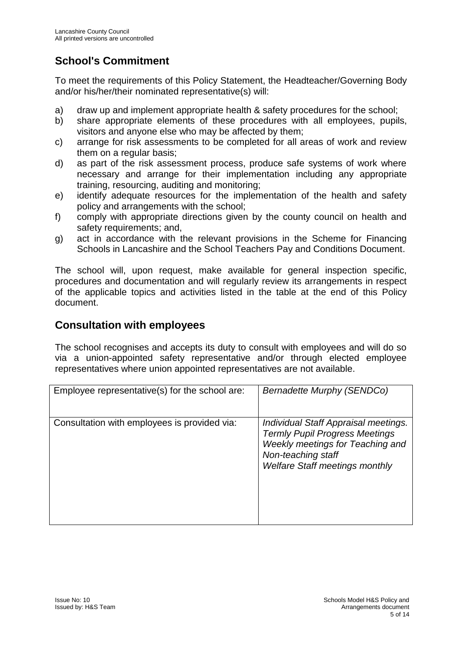# **School's Commitment**

To meet the requirements of this Policy Statement, the Headteacher/Governing Body and/or his/her/their nominated representative(s) will:

- a) draw up and implement appropriate health & safety procedures for the school;
- b) share appropriate elements of these procedures with all employees, pupils, visitors and anyone else who may be affected by them;
- c) arrange for risk assessments to be completed for all areas of work and review them on a regular basis;
- d) as part of the risk assessment process, produce safe systems of work where necessary and arrange for their implementation including any appropriate training, resourcing, auditing and monitoring;
- e) identify adequate resources for the implementation of the health and safety policy and arrangements with the school;
- f) comply with appropriate directions given by the county council on health and safety requirements; and,
- g) act in accordance with the relevant provisions in the Scheme for Financing Schools in Lancashire and the School Teachers Pay and Conditions Document.

The school will, upon request, make available for general inspection specific, procedures and documentation and will regularly review its arrangements in respect of the applicable topics and activities listed in the table at the end of this Policy document.

## **Consultation with employees**

The school recognises and accepts its duty to consult with employees and will do so via a union-appointed safety representative and/or through elected employee representatives where union appointed representatives are not available.

| Employee representative(s) for the school are: | Bernadette Murphy (SENDCo)                                                                                                                                                       |
|------------------------------------------------|----------------------------------------------------------------------------------------------------------------------------------------------------------------------------------|
| Consultation with employees is provided via:   | Individual Staff Appraisal meetings.<br><b>Termly Pupil Progress Meetings</b><br>Weekly meetings for Teaching and<br>Non-teaching staff<br><b>Welfare Staff meetings monthly</b> |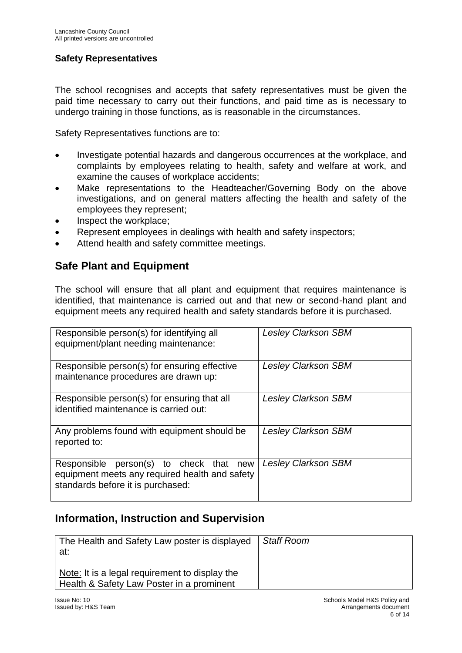#### **Safety Representatives**

The school recognises and accepts that safety representatives must be given the paid time necessary to carry out their functions, and paid time as is necessary to undergo training in those functions, as is reasonable in the circumstances.

Safety Representatives functions are to:

- Investigate potential hazards and dangerous occurrences at the workplace, and complaints by employees relating to health, safety and welfare at work, and examine the causes of workplace accidents;
- Make representations to the Headteacher/Governing Body on the above investigations, and on general matters affecting the health and safety of the employees they represent;
- Inspect the workplace;
- Represent employees in dealings with health and safety inspectors;
- Attend health and safety committee meetings.

## **Safe Plant and Equipment**

The school will ensure that all plant and equipment that requires maintenance is identified, that maintenance is carried out and that new or second-hand plant and equipment meets any required health and safety standards before it is purchased.

| Responsible person(s) for identifying all<br>equipment/plant needing maintenance:                                              | <b>Lesley Clarkson SBM</b> |
|--------------------------------------------------------------------------------------------------------------------------------|----------------------------|
| Responsible person(s) for ensuring effective<br>maintenance procedures are drawn up:                                           | <b>Lesley Clarkson SBM</b> |
| Responsible person(s) for ensuring that all<br>identified maintenance is carried out:                                          | <b>Lesley Clarkson SBM</b> |
| Any problems found with equipment should be<br>reported to:                                                                    | <b>Lesley Clarkson SBM</b> |
| Responsible person(s) to check that new<br>equipment meets any required health and safety<br>standards before it is purchased: | <b>Lesley Clarkson SBM</b> |

## **Information, Instruction and Supervision**

| The Health and Safety Law poster is displayed<br>at:                                        | <b>Staff Room</b> |
|---------------------------------------------------------------------------------------------|-------------------|
| Note: It is a legal requirement to display the<br>Health & Safety Law Poster in a prominent |                   |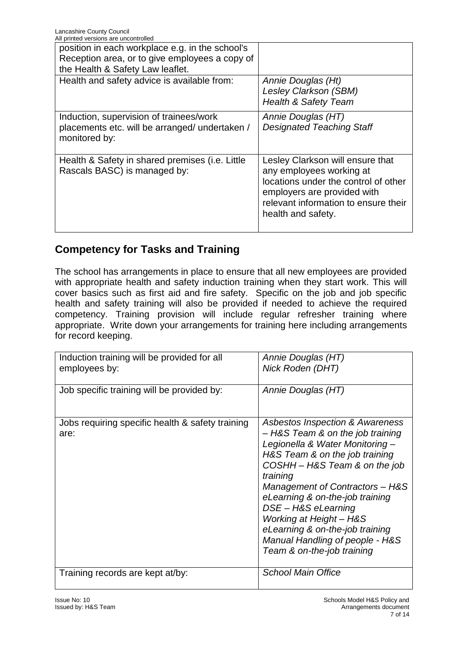| All printed versions are uncontrolled           |                                      |
|-------------------------------------------------|--------------------------------------|
| position in each workplace e.g. in the school's |                                      |
| Reception area, or to give employees a copy of  |                                      |
| the Health & Safety Law leaflet.                |                                      |
| Health and safety advice is available from:     | Annie Douglas (Ht)                   |
|                                                 | Lesley Clarkson (SBM)                |
|                                                 | <b>Health &amp; Safety Team</b>      |
| Induction, supervision of trainees/work         | Annie Douglas (HT)                   |
| placements etc. will be arranged/ undertaken /  | <b>Designated Teaching Staff</b>     |
| monitored by:                                   |                                      |
|                                                 |                                      |
| Health & Safety in shared premises (i.e. Little | Lesley Clarkson will ensure that     |
| Rascals BASC) is managed by:                    | any employees working at             |
|                                                 | locations under the control of other |
|                                                 | employers are provided with          |
|                                                 | relevant information to ensure their |
|                                                 | health and safety.                   |
|                                                 |                                      |

# **Competency for Tasks and Training**

The school has arrangements in place to ensure that all new employees are provided with appropriate health and safety induction training when they start work. This will cover basics such as first aid and fire safety. Specific on the job and job specific health and safety training will also be provided if needed to achieve the required competency. Training provision will include regular refresher training where appropriate. Write down your arrangements for training here including arrangements for record keeping.

| Induction training will be provided for all<br>employees by: | Annie Douglas (HT)<br>Nick Roden (DHT)                                                                                                                                                                                                                                                                                                                                                                         |
|--------------------------------------------------------------|----------------------------------------------------------------------------------------------------------------------------------------------------------------------------------------------------------------------------------------------------------------------------------------------------------------------------------------------------------------------------------------------------------------|
| Job specific training will be provided by:                   | Annie Douglas (HT)                                                                                                                                                                                                                                                                                                                                                                                             |
| Jobs requiring specific health & safety training<br>are:     | Asbestos Inspection & Awareness<br>- H&S Team & on the job training<br>Legionella & Water Monitoring-<br>H&S Team & on the job training<br>COSHH - H&S Team & on the job<br>training<br>Management of Contractors - H&S<br>eLearning & on-the-job training<br>DSE-H&S eLearning<br>Working at Height - H&S<br>eLearning & on-the-job training<br>Manual Handling of people - H&S<br>Team & on-the-job training |
| Training records are kept at/by:                             | <b>School Main Office</b>                                                                                                                                                                                                                                                                                                                                                                                      |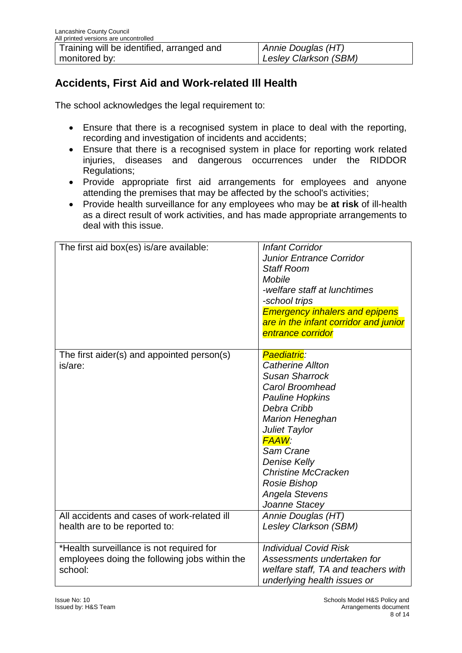# **Accidents, First Aid and Work-related Ill Health**

The school acknowledges the legal requirement to:

- Ensure that there is a recognised system in place to deal with the reporting, recording and investigation of incidents and accidents;
- Ensure that there is a recognised system in place for reporting work related injuries, diseases and dangerous occurrences under the RIDDOR Regulations;
- Provide appropriate first aid arrangements for employees and anyone attending the premises that may be affected by the school's activities;
- Provide health surveillance for any employees who may be **at risk** of ill-health as a direct result of work activities, and has made appropriate arrangements to deal with this issue.

| The first aid box(es) is/are available:                                                              | <b>Infant Corridor</b><br><b>Junior Entrance Corridor</b><br><b>Staff Room</b><br><b>Mobile</b><br>-welfare staff at lunchtimes<br>-school trips<br><b>Emergency inhalers and epipens</b><br>are in the infant corridor and junior<br>entrance corridor                                                     |
|------------------------------------------------------------------------------------------------------|-------------------------------------------------------------------------------------------------------------------------------------------------------------------------------------------------------------------------------------------------------------------------------------------------------------|
| The first aider(s) and appointed person(s)<br>is/are:                                                | Paediatric:<br><b>Catherine Allton</b><br><b>Susan Sharrock</b><br>Carol Broomhead<br><b>Pauline Hopkins</b><br>Debra Cribb<br><b>Marion Heneghan</b><br>Juliet Taylor<br><b>FAAW:</b><br>Sam Crane<br><b>Denise Kelly</b><br><b>Christine McCracken</b><br>Rosie Bishop<br>Angela Stevens<br>Joanne Stacey |
| All accidents and cases of work-related ill<br>health are to be reported to:                         | Annie Douglas (HT)<br><b>Lesley Clarkson (SBM)</b>                                                                                                                                                                                                                                                          |
| *Health surveillance is not required for<br>employees doing the following jobs within the<br>school: | <b>Individual Covid Risk</b><br>Assessments undertaken for<br>welfare staff, TA and teachers with<br>underlying health issues or                                                                                                                                                                            |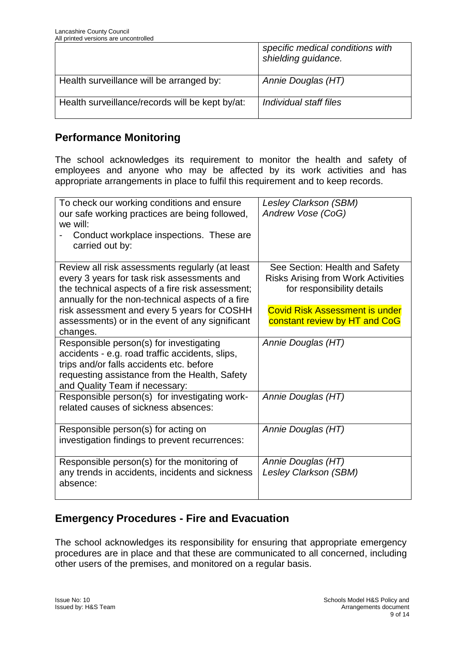|                                                 | specific medical conditions with<br>shielding guidance. |
|-------------------------------------------------|---------------------------------------------------------|
| Health surveillance will be arranged by:        | Annie Douglas (HT)                                      |
| Health surveillance/records will be kept by/at: | Individual staff files                                  |

## **Performance Monitoring**

The school acknowledges its requirement to monitor the health and safety of employees and anyone who may be affected by its work activities and has appropriate arrangements in place to fulfil this requirement and to keep records.

| To check our working conditions and ensure<br>our safe working practices are being followed, | Lesley Clarkson (SBM)<br>Andrew Vose (CoG) |
|----------------------------------------------------------------------------------------------|--------------------------------------------|
| we will:                                                                                     |                                            |
| Conduct workplace inspections. These are<br>carried out by:                                  |                                            |
| Review all risk assessments regularly (at least                                              | See Section: Health and Safety             |
| every 3 years for task risk assessments and                                                  | <b>Risks Arising from Work Activities</b>  |
| the technical aspects of a fire risk assessment;                                             | for responsibility details                 |
| annually for the non-technical aspects of a fire                                             |                                            |
| risk assessment and every 5 years for COSHH                                                  | <b>Covid Risk Assessment is under</b>      |
| assessments) or in the event of any significant                                              | constant review by HT and CoG              |
| changes.                                                                                     |                                            |
| Responsible person(s) for investigating                                                      | Annie Douglas (HT)                         |
| accidents - e.g. road traffic accidents, slips,                                              |                                            |
| trips and/or falls accidents etc. before                                                     |                                            |
| requesting assistance from the Health, Safety                                                |                                            |
| and Quality Team if necessary:                                                               |                                            |
| Responsible person(s) for investigating work-                                                | Annie Douglas (HT)                         |
| related causes of sickness absences:                                                         |                                            |
|                                                                                              |                                            |
| Responsible person(s) for acting on                                                          | Annie Douglas (HT)                         |
| investigation findings to prevent recurrences:                                               |                                            |
|                                                                                              |                                            |
| Responsible person(s) for the monitoring of                                                  | Annie Douglas (HT)                         |
| any trends in accidents, incidents and sickness                                              | <b>Lesley Clarkson (SBM)</b>               |
| absence:                                                                                     |                                            |
|                                                                                              |                                            |

# **Emergency Procedures - Fire and Evacuation**

The school acknowledges its responsibility for ensuring that appropriate emergency procedures are in place and that these are communicated to all concerned, including other users of the premises, and monitored on a regular basis.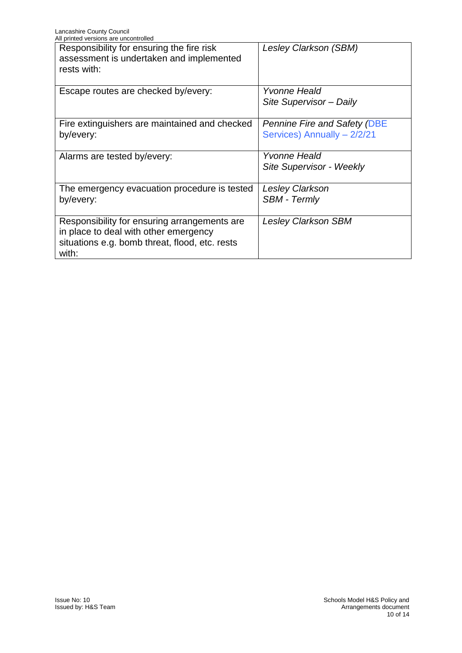| All printed versions are uncontrolled                                                                                                            |                                                                    |
|--------------------------------------------------------------------------------------------------------------------------------------------------|--------------------------------------------------------------------|
| Responsibility for ensuring the fire risk<br>assessment is undertaken and implemented<br>rests with:                                             | Lesley Clarkson (SBM)                                              |
| Escape routes are checked by/every:                                                                                                              | Yvonne Heald<br>Site Supervisor - Daily                            |
| Fire extinguishers are maintained and checked<br>by/every:                                                                                       | <b>Pennine Fire and Safety (DBE</b><br>Services) Annually - 2/2/21 |
| Alarms are tested by/every:                                                                                                                      | Yvonne Heald<br>Site Supervisor - Weekly                           |
| The emergency evacuation procedure is tested<br>by/every:                                                                                        | <b>Lesley Clarkson</b><br><b>SBM - Termly</b>                      |
| Responsibility for ensuring arrangements are<br>in place to deal with other emergency<br>situations e.g. bomb threat, flood, etc. rests<br>with: | <b>Lesley Clarkson SBM</b>                                         |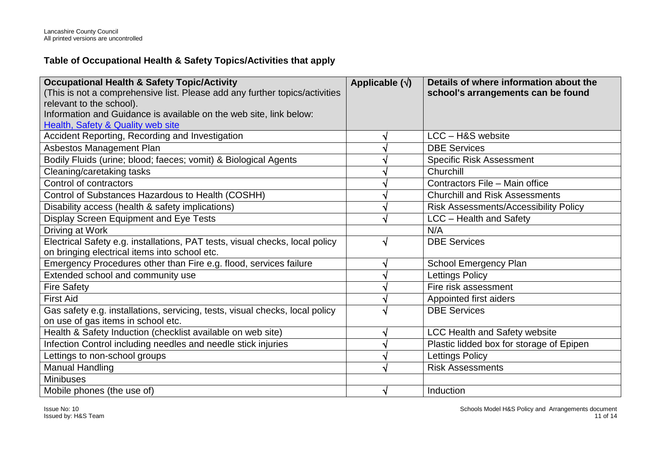## **Table of Occupational Health & Safety Topics/Activities that apply**

| <b>Occupational Health &amp; Safety Topic/Activity</b>                       | Applicable $(\sqrt{})$ | Details of where information about the       |
|------------------------------------------------------------------------------|------------------------|----------------------------------------------|
| (This is not a comprehensive list. Please add any further topics/activities  |                        | school's arrangements can be found           |
| relevant to the school).                                                     |                        |                                              |
| Information and Guidance is available on the web site, link below:           |                        |                                              |
| Health, Safety & Quality web site                                            |                        |                                              |
| Accident Reporting, Recording and Investigation                              |                        | LCC - H&S website                            |
| Asbestos Management Plan                                                     |                        | <b>DBE Services</b>                          |
| Bodily Fluids (urine; blood; faeces; vomit) & Biological Agents              |                        | <b>Specific Risk Assessment</b>              |
| Cleaning/caretaking tasks                                                    |                        | Churchill                                    |
| Control of contractors                                                       |                        | Contractors File - Main office               |
| Control of Substances Hazardous to Health (COSHH)                            |                        | <b>Churchill and Risk Assessments</b>        |
| Disability access (health & safety implications)                             |                        | <b>Risk Assessments/Accessibility Policy</b> |
| Display Screen Equipment and Eye Tests                                       |                        | LCC - Health and Safety                      |
| Driving at Work                                                              |                        | N/A                                          |
| Electrical Safety e.g. installations, PAT tests, visual checks, local policy |                        | <b>DBE Services</b>                          |
| on bringing electrical items into school etc.                                |                        |                                              |
| Emergency Procedures other than Fire e.g. flood, services failure            |                        | School Emergency Plan                        |
| Extended school and community use                                            |                        | Lettings Policy                              |
| <b>Fire Safety</b>                                                           |                        | Fire risk assessment                         |
| <b>First Aid</b>                                                             |                        | Appointed first aiders                       |
| Gas safety e.g. installations, servicing, tests, visual checks, local policy |                        | <b>DBE Services</b>                          |
| on use of gas items in school etc.                                           |                        |                                              |
| Health & Safety Induction (checklist available on web site)                  |                        | <b>LCC Health and Safety website</b>         |
| Infection Control including needles and needle stick injuries                |                        | Plastic lidded box for storage of Epipen     |
| Lettings to non-school groups                                                |                        | Lettings Policy                              |
| <b>Manual Handling</b>                                                       |                        | <b>Risk Assessments</b>                      |
| <b>Minibuses</b>                                                             |                        |                                              |
| Mobile phones (the use of)                                                   | N                      | Induction                                    |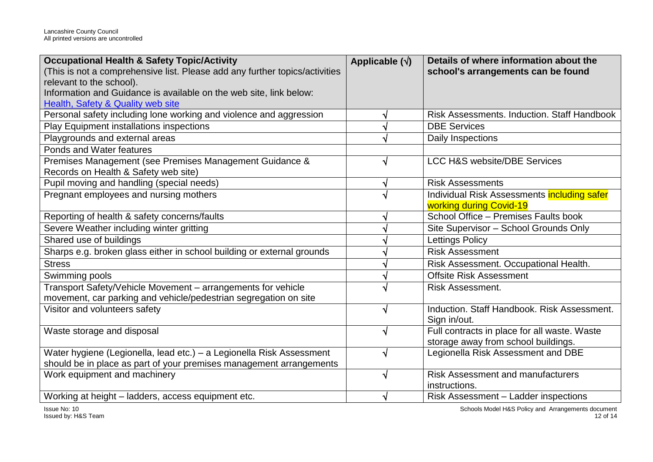| <b>Occupational Health &amp; Safety Topic/Activity</b>                      | Applicable $(\sqrt{})$ | Details of where information about the             |
|-----------------------------------------------------------------------------|------------------------|----------------------------------------------------|
| (This is not a comprehensive list. Please add any further topics/activities |                        | school's arrangements can be found                 |
| relevant to the school).                                                    |                        |                                                    |
| Information and Guidance is available on the web site, link below:          |                        |                                                    |
| Health, Safety & Quality web site                                           |                        |                                                    |
| Personal safety including lone working and violence and aggression          | V                      | <b>Risk Assessments, Induction, Staff Handbook</b> |
| Play Equipment installations inspections                                    |                        | <b>DBE Services</b>                                |
| Playgrounds and external areas                                              | √                      | Daily Inspections                                  |
| Ponds and Water features                                                    |                        |                                                    |
| Premises Management (see Premises Management Guidance &                     | √                      | <b>LCC H&amp;S website/DBE Services</b>            |
| Records on Health & Safety web site)                                        |                        |                                                    |
| Pupil moving and handling (special needs)                                   | V                      | <b>Risk Assessments</b>                            |
| Pregnant employees and nursing mothers                                      | $\sqrt{ }$             | Individual Risk Assessments including safer        |
|                                                                             |                        | working during Covid-19                            |
| Reporting of health & safety concerns/faults                                |                        | School Office - Premises Faults book               |
| Severe Weather including winter gritting                                    |                        | Site Supervisor - School Grounds Only              |
| Shared use of buildings                                                     |                        | <b>Lettings Policy</b>                             |
| Sharps e.g. broken glass either in school building or external grounds      |                        | <b>Risk Assessment</b>                             |
| <b>Stress</b>                                                               |                        | Risk Assessment. Occupational Health.              |
| Swimming pools                                                              |                        | <b>Offsite Risk Assessment</b>                     |
| Transport Safety/Vehicle Movement - arrangements for vehicle                |                        | <b>Risk Assessment.</b>                            |
| movement, car parking and vehicle/pedestrian segregation on site            |                        |                                                    |
| Visitor and volunteers safety                                               | $\sqrt{ }$             | Induction. Staff Handbook. Risk Assessment.        |
|                                                                             |                        | Sign in/out.                                       |
| Waste storage and disposal                                                  | $\sqrt{}$              | Full contracts in place for all waste. Waste       |
|                                                                             |                        | storage away from school buildings.                |
| Water hygiene (Legionella, lead etc.) - a Legionella Risk Assessment        | √                      | Legionella Risk Assessment and DBE                 |
| should be in place as part of your premises management arrangements         |                        |                                                    |
| Work equipment and machinery                                                | V                      | <b>Risk Assessment and manufacturers</b>           |
|                                                                             |                        | instructions.                                      |
| Working at height - ladders, access equipment etc.                          | √                      | Risk Assessment - Ladder inspections               |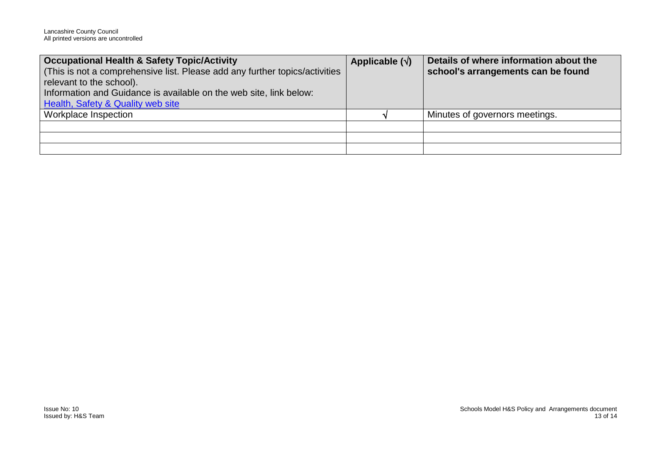| <b>Occupational Health &amp; Safety Topic/Activity</b>                      | Applicable $(\sqrt{})$ | Details of where information about the |
|-----------------------------------------------------------------------------|------------------------|----------------------------------------|
| (This is not a comprehensive list. Please add any further topics/activities |                        | school's arrangements can be found     |
| relevant to the school).                                                    |                        |                                        |
| Information and Guidance is available on the web site, link below:          |                        |                                        |
| <b>Health, Safety &amp; Quality web site</b>                                |                        |                                        |
| <b>Workplace Inspection</b>                                                 |                        | Minutes of governors meetings.         |
|                                                                             |                        |                                        |
|                                                                             |                        |                                        |
|                                                                             |                        |                                        |